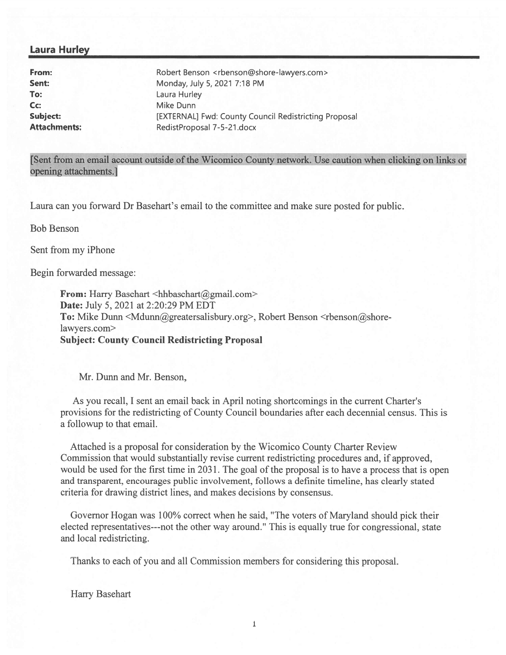## Laura Hurley

To: Laura Hurley Cc: Mike Dunn

From: Robert Benson <rbenson@shore-lawyers.com> **Sent:** Monday, July 5, 2021 7:18 PM Subject: [EXTERNAL] Fwd: County Council Redistricting Proposal Attachments: RedistProposal 7-5-21.docx

[Sent from an email account outside of the Wicomico County network. Use caution when clicking on links or opening attachments.]

Laura can you forward Dr Basehart's email to the committee and make sure posted for public.

Bob Benson

Sent from my iPhone

Begin forwarded message:

From: Harry Basehart <hhbasehart@gmail.com> Date: July 5, 2021 at 2:20:29 PM EDT To: Mike Dunn  $\leq M$ dunn $\omega$ greatersalisbury.org>, Robert Benson  $\leq$ rbenson $\omega$ shorelawyers.com> Subject: County Council Redistricting Proposal

Mr. Dunn and Mr. Benson,

As you recall, I sent an email back in April noting shortcomings in the current Charter's provisions for the redistricting of County Council boundaries after each decennial census. This is <sup>a</sup> followup to that email.

Attached is <sup>a</sup> proposal for consideration by the Wicomico County Charter Review Commission that would substantially revise current redistricting procedures and, if approved, would be used for the first time in 2031. The goal of the proposal is to have a process that is open and transparent, encourages public involvement, follows <sup>a</sup> definite timeline, has clearly stated criteria for drawing district lines, and makes decisions by consensus.

Governor Hogan was 100% correct when he said, 'The voters of Maryland should pick their elected representatives---not the other way around." This is equally true for congressional, state and local redistricting.

Thanks to each of you and all Commission members for considering this proposal.

Harry Basehart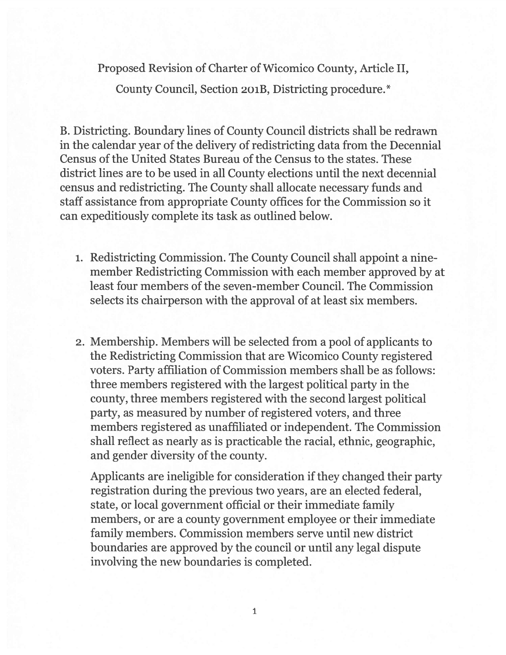Proposed Revision of Charter of Wicomico County, Article II,

County Council, Section 201B, Districting procedure.\*

B. Districting. Boundary lines of County Council districts shall be redrawn in the calendar year of the delivery of redistricting data from the Decennial Census of the United States Bureau of the Census to the states. These district lines are to be used in all County elections until the next decennial census and redistricting. The County shall allocate necessary funds and staff assistance from appropriate County offices for the Commission so it can expeditiously complete its task as outlined below.

- 1. Redistricting Commission. The County Council shall appoint <sup>a</sup> ninemember Redistricting Commission with each member approved by at least four members of the seven-member Council. The Commission selects its chairperson with the approval of at least six members.
- 2. Membership. Members will be selected from <sup>a</sup> pool of applicants to the Redistricting Commission that are Wicomico County registered voters. Party affiliation of Commission members shall be as follows: three members registered with the largest political party in the county, three members registered with the second largest political party, as measured by number of registered voters, and three members registered as unaffiliated or independent. The Commission shall reflect as nearly as is practicable the racial, ethnic, geographic, and gender diversity of the county.

Applicants are ineligible for consideration if they changed their party registration during the previous two years, are an elected federal, state, or local governmen<sup>t</sup> official or their immediate family members, or are <sup>a</sup> county governmen<sup>t</sup> employee or their immediate family members. Commission members serve until new district boundaries are approved by the council or until any legal dispute involving the new boundaries is completed.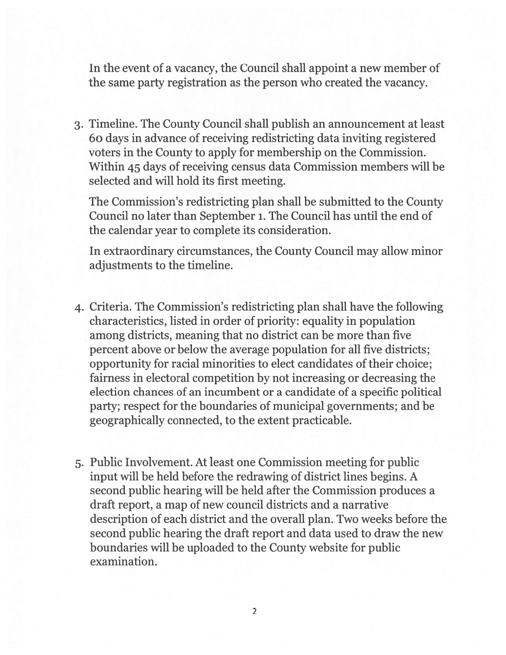In the event of <sup>a</sup> vacancy, the Council shall appoint <sup>a</sup> new member of the same party registration as the person who created the vacancy.

3. Timeline. The County Council shall publish an announcement at least 6o days in advance of receiving redistricting data inviting registered voters in the County to apply for membership on the Commission. Within 45 days of receiving census data Commission members will be selected and will hold its first meeting.

The Commission's redistricting plan shall be submitted to the County Council no later than September i. The Council has until the end of the calendar year to complete its consideration.

In extraordinary circumstances, the County Council may allow minor adjustments to the timeline.

- 4. Criteria. The Commission's redistricting plan shall have the following characteristics, listed in order of priority: equality in population among districts, meaning that no district can be more than five percen<sup>t</sup> above or below the average population for all five districts; opportunity for racial minorities to elect candidates of their choice; fairness in electoral competition by not increasing or decreasing the election chances of an incumbent or <sup>a</sup> candidate of <sup>a</sup> specific political party; respect for the boundaries of municipal governments; and be geographically connected, to the extent practicable.
- 5. Public Involvement. At least one Commission meeting for public input will be held before the redrawing of district lines begins. A second public hearing will be held after the Commission produces <sup>a</sup> draft report, <sup>a</sup> map of new council districts and <sup>a</sup> narrative description of each district and the overall plan. Two weeks before the second public hearing the draft repor<sup>t</sup> and data used to draw the new boundaries will be uploaded to the County website for public examination.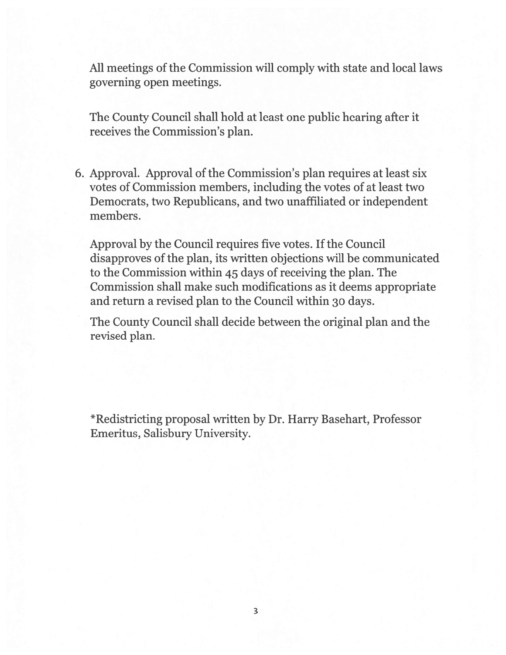All meetings of the Commission will comply with state and local laws governing open meetings.

The County Council shall hold at least one public hearing after it receives the Commission's plan.

6. Approval. Approval of the Commission's plan requires at least six votes of Commission members, including the votes of at least two Democrats, two Republicans, and two unaffiliated or independent members.

Approval by the Council requires five votes. If the Council disapproves of the plan, its written objections will be communicated to the Commission within 45 days of receiving the plan. The Commission shall make such modifications as it deems appropriate and return <sup>a</sup> revised plan to the Council within <sup>30</sup> days.

The County Council shall decide between the original plan and the revised plan.

\*Redistricting proposa<sup>l</sup> written by Dr. Harry Basehart, Professor Emeritus, Salisbury University.